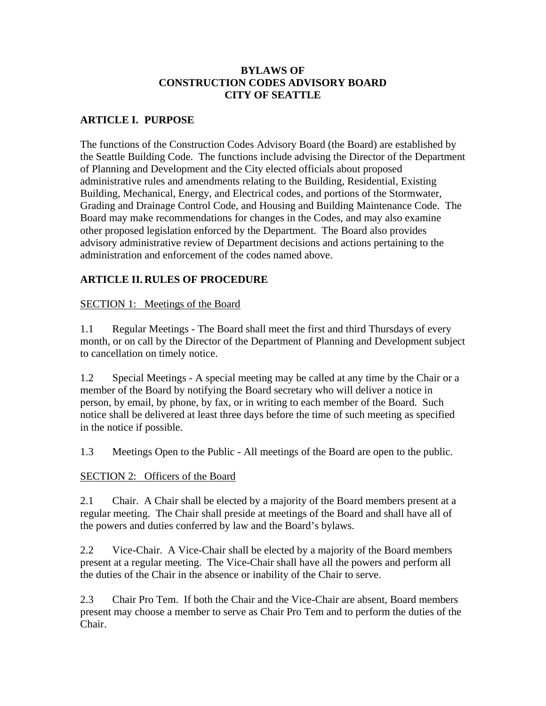### **BYLAWS OF CONSTRUCTION CODES ADVISORY BOARD CITY OF SEATTLE**

# **ARTICLE I. PURPOSE**

The functions of the Construction Codes Advisory Board (the Board) are established by the Seattle Building Code. The functions include advising the Director of the Department of Planning and Development and the City elected officials about proposed administrative rules and amendments relating to the Building, Residential, Existing Building, Mechanical, Energy, and Electrical codes, and portions of the Stormwater, Grading and Drainage Control Code, and Housing and Building Maintenance Code. The Board may make recommendations for changes in the Codes, and may also examine other proposed legislation enforced by the Department. The Board also provides advisory administrative review of Department decisions and actions pertaining to the administration and enforcement of the codes named above.

## **ARTICLE II. RULES OF PROCEDURE**

#### SECTION 1: Meetings of the Board

1.1 Regular Meetings - The Board shall meet the first and third Thursdays of every month, or on call by the Director of the Department of Planning and Development subject to cancellation on timely notice.

1.2 Special Meetings - A special meeting may be called at any time by the Chair or a member of the Board by notifying the Board secretary who will deliver a notice in person, by email, by phone, by fax, or in writing to each member of the Board. Such notice shall be delivered at least three days before the time of such meeting as specified in the notice if possible.

1.3 Meetings Open to the Public - All meetings of the Board are open to the public.

#### SECTION 2: Officers of the Board

2.1 Chair. A Chair shall be elected by a majority of the Board members present at a regular meeting. The Chair shall preside at meetings of the Board and shall have all of the powers and duties conferred by law and the Board's bylaws.

2.2 Vice-Chair. A Vice-Chair shall be elected by a majority of the Board members present at a regular meeting. The Vice-Chair shall have all the powers and perform all the duties of the Chair in the absence or inability of the Chair to serve.

2.3 Chair Pro Tem. If both the Chair and the Vice-Chair are absent, Board members present may choose a member to serve as Chair Pro Tem and to perform the duties of the Chair.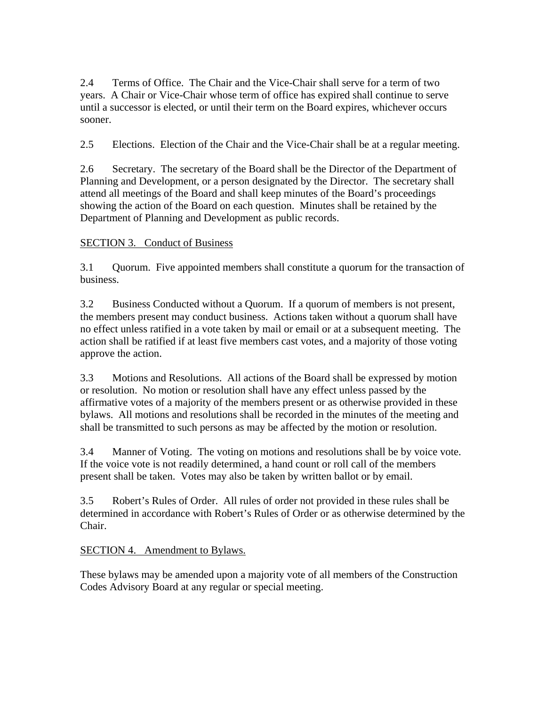2.4 Terms of Office. The Chair and the Vice-Chair shall serve for a term of two years. A Chair or Vice-Chair whose term of office has expired shall continue to serve until a successor is elected, or until their term on the Board expires, whichever occurs sooner.

2.5 Elections. Election of the Chair and the Vice-Chair shall be at a regular meeting.

2.6 Secretary. The secretary of the Board shall be the Director of the Department of Planning and Development, or a person designated by the Director. The secretary shall attend all meetings of the Board and shall keep minutes of the Board's proceedings showing the action of the Board on each question. Minutes shall be retained by the Department of Planning and Development as public records.

## SECTION 3. Conduct of Business

3.1 Quorum. Five appointed members shall constitute a quorum for the transaction of business.

3.2 Business Conducted without a Quorum. If a quorum of members is not present, the members present may conduct business. Actions taken without a quorum shall have no effect unless ratified in a vote taken by mail or email or at a subsequent meeting. The action shall be ratified if at least five members cast votes, and a majority of those voting approve the action.

3.3 Motions and Resolutions. All actions of the Board shall be expressed by motion or resolution. No motion or resolution shall have any effect unless passed by the affirmative votes of a majority of the members present or as otherwise provided in these bylaws. All motions and resolutions shall be recorded in the minutes of the meeting and shall be transmitted to such persons as may be affected by the motion or resolution.

3.4 Manner of Voting. The voting on motions and resolutions shall be by voice vote. If the voice vote is not readily determined, a hand count or roll call of the members present shall be taken. Votes may also be taken by written ballot or by email.

3.5 Robert's Rules of Order. All rules of order not provided in these rules shall be determined in accordance with Robert's Rules of Order or as otherwise determined by the Chair.

#### SECTION 4. Amendment to Bylaws.

These bylaws may be amended upon a majority vote of all members of the Construction Codes Advisory Board at any regular or special meeting.